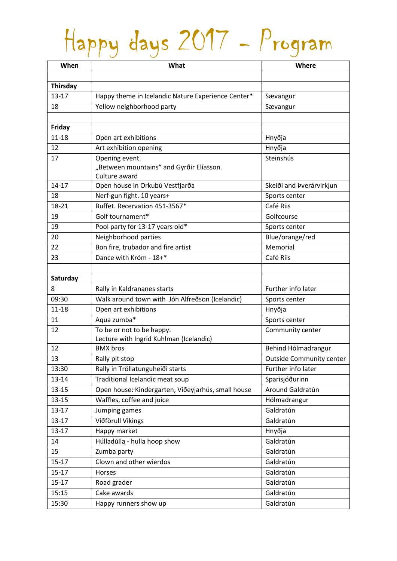## Happy days 2017 - Program

| When            | What                                                       | Where                           |
|-----------------|------------------------------------------------------------|---------------------------------|
|                 |                                                            |                                 |
| <b>Thirsday</b> |                                                            |                                 |
| $13 - 17$       | Happy theme in Icelandic Nature Experience Center*         | Sævangur                        |
| 18              | Yellow neighborhood party                                  | Sævangur                        |
|                 |                                                            |                                 |
| Friday          |                                                            |                                 |
| $11 - 18$       | Open art exhibitions                                       | Hnyðja                          |
| 12              | Art exhibition opening                                     | Hnyðja                          |
| 17              | Opening event.<br>"Between mountains" and Gyrðir Elíasson. | Steinshús                       |
|                 | Culture award                                              |                                 |
| $14 - 17$       | Open house in Orkubú Vestfjarða                            | Skeiði and Þverárvirkjun        |
| 18              | Nerf-gun fight. 10 years+                                  | Sports center                   |
| 18-21           | Buffet. Recervation 451-3567*                              | Café Riis                       |
| 19              | Golf tournament*                                           | Golfcourse                      |
| 19              | Pool party for 13-17 years old*                            | Sports center                   |
| 20              | Neighborhood parties                                       | Blue/orange/red                 |
| 22              | Bon fire, trubador and fire artist                         | Memorial                        |
| 23              | Dance with Króm - 18+*                                     | Café Riis                       |
|                 |                                                            |                                 |
| Saturday        |                                                            |                                 |
| 8               | Rally in Kaldrananes starts                                | Further info later              |
| 09:30           | Walk around town with Jón Alfreðson (Icelandic)            | Sports center                   |
| $11 - 18$       | Open art exhibitions                                       | Hnyðja                          |
| 11              | Aqua zumba*                                                | Sports center                   |
| 12              | To be or not to be happy.                                  | Community center                |
|                 | Lecture with Ingrid Kuhlman (Icelandic)                    |                                 |
| 12              | <b>BMX</b> bros                                            | Behind Hólmadrangur             |
| 13              | Rally pit stop                                             | <b>Outside Community center</b> |
| 13:30           | Rally in Tröllatunguheiði starts                           | Further info later              |
| $13 - 14$       | Traditional Icelandic meat soup                            | Sparisjóðurinn                  |
| $13 - 15$       | Open house: Kindergarten, Viðeyjarhús, small house         | Around Galdratún                |
| $13 - 15$       | Waffles, coffee and juice                                  | Hólmadrangur                    |
| $13 - 17$       | Jumping games                                              | Galdratún                       |
| $13 - 17$       | Víðförull Vikings                                          | Galdratún                       |
| $13 - 17$       | Happy market                                               | Hnyðja                          |
| 14              | Húlladúlla - hulla hoop show                               | Galdratún                       |
| 15              | Zumba party                                                | Galdratún                       |
| $15 - 17$       | Clown and other wierdos                                    | Galdratún                       |
| $15-17$         | Horses                                                     | Galdratún                       |
| $15 - 17$       | Road grader                                                | Galdratún                       |
| 15:15           | Cake awards                                                | Galdratún                       |
| 15:30           | Happy runners show up                                      | Galdratún                       |